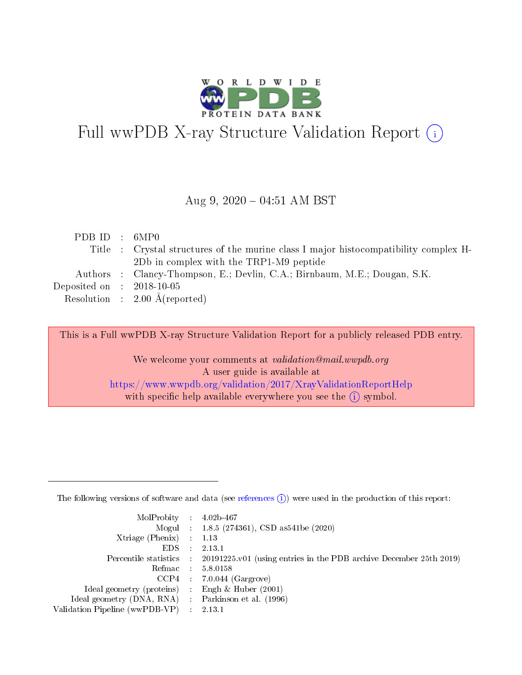

# Full wwPDB X-ray Structure Validation Report (i)

### Aug 9,  $2020 - 04:51$  AM BST

| PDBID : 6MP0                |                                                                                      |
|-----------------------------|--------------------------------------------------------------------------------------|
|                             | Title : Crystal structures of the murine class I major histocompatibility complex H- |
|                             | 2Db in complex with the TRP1-M9 peptide                                              |
|                             | Authors : Clancy-Thompson, E.; Devlin, C.A.; Birnbaum, M.E.; Dougan, S.K.            |
| Deposited on : $2018-10-05$ |                                                                                      |
|                             | Resolution : $2.00 \text{ Å}$ (reported)                                             |

This is a Full wwPDB X-ray Structure Validation Report for a publicly released PDB entry.

We welcome your comments at validation@mail.wwpdb.org A user guide is available at <https://www.wwpdb.org/validation/2017/XrayValidationReportHelp> with specific help available everywhere you see the  $(i)$  symbol.

The following versions of software and data (see [references](https://www.wwpdb.org/validation/2017/XrayValidationReportHelp#references)  $(1)$ ) were used in the production of this report:

| $MolProbability$ : 4.02b-467                      |                             |                                                                                            |
|---------------------------------------------------|-----------------------------|--------------------------------------------------------------------------------------------|
|                                                   |                             | Mogul : $1.8.5$ (274361), CSD as 541be (2020)                                              |
| Xtriage (Phenix) $: 1.13$                         |                             |                                                                                            |
| EDS.                                              | $\mathcal{L}$               | 2.13.1                                                                                     |
|                                                   |                             | Percentile statistics : 20191225.v01 (using entries in the PDB archive December 25th 2019) |
| Refmac : 5.8.0158                                 |                             |                                                                                            |
|                                                   |                             | $CCP4$ 7.0.044 (Gargrove)                                                                  |
| Ideal geometry (proteins)                         | $\mathcal{L}_{\mathcal{L}}$ | Engh $\&$ Huber (2001)                                                                     |
| Ideal geometry (DNA, RNA) Parkinson et al. (1996) |                             |                                                                                            |
| Validation Pipeline (wwPDB-VP) : 2.13.1           |                             |                                                                                            |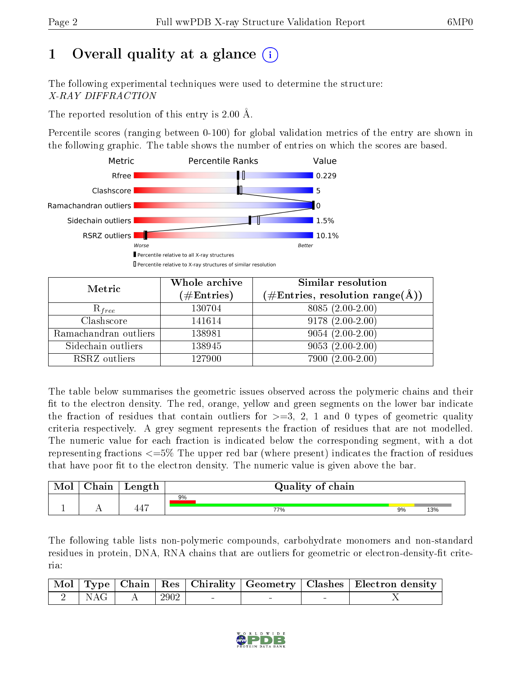# 1 [O](https://www.wwpdb.org/validation/2017/XrayValidationReportHelp#overall_quality)verall quality at a glance  $(i)$

The following experimental techniques were used to determine the structure: X-RAY DIFFRACTION

The reported resolution of this entry is 2.00 Å.

Percentile scores (ranging between 0-100) for global validation metrics of the entry are shown in the following graphic. The table shows the number of entries on which the scores are based.



| Metric                | Whole archive<br>$(\#\text{Entries})$ | Similar resolution<br>$(\#\text{Entries}, \text{resolution range}(\text{\AA}))$ |
|-----------------------|---------------------------------------|---------------------------------------------------------------------------------|
| $R_{free}$            | 130704                                | $8085(2.00-2.00)$                                                               |
| Clashscore            | 141614                                | $9178(2.00-2.00)$                                                               |
| Ramachandran outliers | 138981                                | $9054(2.00-2.00)$                                                               |
| Sidechain outliers    | 138945                                | $9053(2.00-2.00)$                                                               |
| RSRZ outliers         | 127900                                | $7900(2.00-2.00)$                                                               |

The table below summarises the geometric issues observed across the polymeric chains and their fit to the electron density. The red, orange, yellow and green segments on the lower bar indicate the fraction of residues that contain outliers for  $\geq=3$ , 2, 1 and 0 types of geometric quality criteria respectively. A grey segment represents the fraction of residues that are not modelled. The numeric value for each fraction is indicated below the corresponding segment, with a dot representing fractions  $\epsilon=5\%$  The upper red bar (where present) indicates the fraction of residues that have poor fit to the electron density. The numeric value is given above the bar.

| $\cap$ hain | Length                | Quality of chain |    |     |
|-------------|-----------------------|------------------|----|-----|
|             |                       | 9%               |    |     |
|             | $\overline{1}$<br>44. | 77%              | 9% | 13% |

The following table lists non-polymeric compounds, carbohydrate monomers and non-standard residues in protein, DNA, RNA chains that are outliers for geometric or electron-density-fit criteria:

|  |                                                                                   |  |  | Mol   Type   Chain   Res   Chirality   Geometry   Clashes   Electron density |
|--|-----------------------------------------------------------------------------------|--|--|------------------------------------------------------------------------------|
|  | $\begin{array}{ c c c c c c c c c } \hline 2 & \text{NAG} & A & 2902 \end{array}$ |  |  |                                                                              |

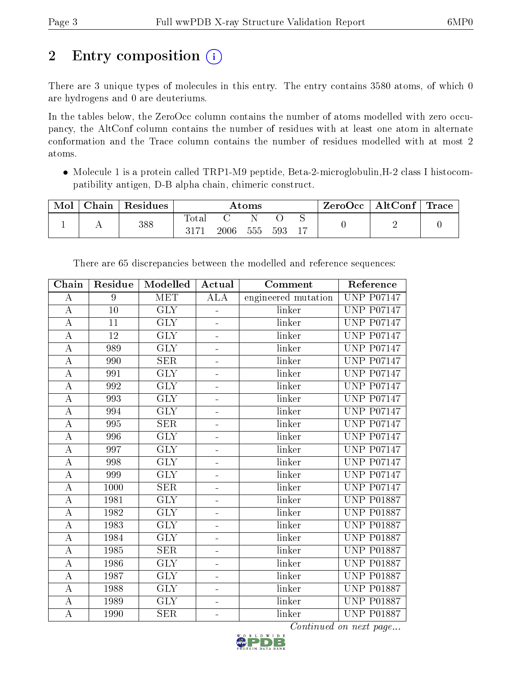# 2 Entry composition (i)

There are 3 unique types of molecules in this entry. The entry contains 3580 atoms, of which 0 are hydrogens and 0 are deuteriums.

In the tables below, the ZeroOcc column contains the number of atoms modelled with zero occupancy, the AltConf column contains the number of residues with at least one atom in alternate conformation and the Trace column contains the number of residues modelled with at most 2 atoms.

• Molecule 1 is a protein called TRP1-M9 peptide, Beta-2-microglobulin, H-2 class I histocompatibility antigen, D-B alpha chain, chimeric construct.

| Mol | $\gamma$ hain | Residues | $\rm{Atoms}$           |      |     | $\pm$ ZeroOcc $^+$ | $\mid$ AltConf $\mid$ | $^+$ Trace |  |  |
|-----|---------------|----------|------------------------|------|-----|--------------------|-----------------------|------------|--|--|
|     |               | 388      | $_{\rm Total}$<br>3171 | 2006 | 555 | 593                |                       |            |  |  |

| Chain              | Residue | Modelled                | Actual                   | Comment             | Reference         |
|--------------------|---------|-------------------------|--------------------------|---------------------|-------------------|
| А                  | 9       | <b>MET</b>              | <b>ALA</b>               | engineered mutation | <b>UNP P07147</b> |
| $\boldsymbol{A}$   | 10      | <b>GLY</b>              |                          | linker              | <b>UNP P07147</b> |
| $\bf{A}$           | 11      | $\overline{\text{GLY}}$ |                          | linker              | <b>UNP P07147</b> |
| $\boldsymbol{A}$   | 12      | $\overline{\text{GLY}}$ | ÷                        | linker              | <b>UNP P07147</b> |
| $\boldsymbol{A}$   | 989     | <b>GLY</b>              | $\equiv$                 | linker              | <b>UNP P07147</b> |
| $\overline{\rm A}$ | 990     | $\overline{\text{SER}}$ | ÷                        | linker              | <b>UNP P07147</b> |
| $\boldsymbol{A}$   | 991     | <b>GLY</b>              |                          | linker              | <b>UNP P07147</b> |
| А                  | 992     | <b>GLY</b>              | $\overline{\phantom{0}}$ | linker              | <b>UNP P07147</b> |
| $\overline{A}$     | 993     | $\overline{\text{GLY}}$ | ÷                        | linker              | <b>UNP P07147</b> |
| $\bf{A}$           | 994     | $\overline{\text{GLY}}$ | $\equiv$                 | linker              | <b>UNP P07147</b> |
| $\boldsymbol{A}$   | 995     | $\overline{\text{SER}}$ |                          | linker              | <b>UNP P07147</b> |
| $\boldsymbol{A}$   | 996     | <b>GLY</b>              | $\blacksquare$           | linker              | <b>UNP P07147</b> |
| $\bf{A}$           | 997     | <b>GLY</b>              | $\equiv$                 | linker              | <b>UNP P07147</b> |
| $\boldsymbol{A}$   | 998     | GLY                     | ÷                        | linker              | <b>UNP P07147</b> |
| $\boldsymbol{A}$   | 999     | $\overline{\text{GLY}}$ |                          | linker              | <b>UNP P07147</b> |
| $\boldsymbol{A}$   | 1000    | SER                     | ÷                        | linker              | <b>UNP P07147</b> |
| $\boldsymbol{A}$   | 1981    | <b>GLY</b>              | ÷                        | linker              | <b>UNP P01887</b> |
| $\overline{A}$     | 1982    | $\overline{\text{GLY}}$ | ÷                        | linker              | <b>UNP P01887</b> |
| $\boldsymbol{A}$   | 1983    | $\overline{\text{GLY}}$ | L,                       | linker              | <b>UNP P01887</b> |
| $\boldsymbol{A}$   | 1984    | <b>GLY</b>              | ÷                        | linker              | <b>UNP P01887</b> |
| $\overline{A}$     | 1985    | $\overline{\text{SER}}$ | ÷                        | linker              | <b>UNP P01887</b> |
| $\boldsymbol{A}$   | 1986    | <b>GLY</b>              | ÷                        | linker              | <b>UNP P01887</b> |
| $\bf{A}$           | 1987    | $\overline{\text{GLY}}$ |                          | linker              | <b>UNP P01887</b> |
| А                  | 1988    | <b>GLY</b>              | $\blacksquare$           | linker              | <b>UNP P01887</b> |
| $\overline{A}$     | 1989    | <b>GLY</b>              | $\overline{\phantom{0}}$ | linker              | <b>UNP P01887</b> |
| $\overline{A}$     | 1990    | <b>SER</b>              | $\blacksquare$           | linker              | <b>UNP P01887</b> |

There are 65 discrepancies between the modelled and reference sequences:

Continued on next page...

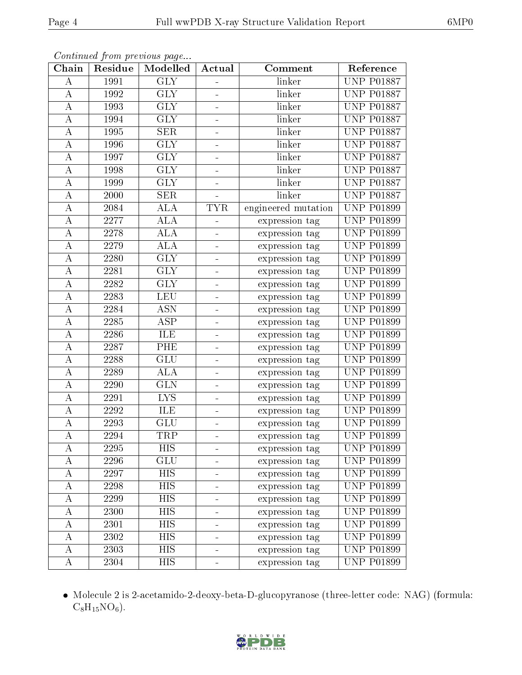| Chain            | Residue | Modelled                | Actual                       | Comment             | Reference         |
|------------------|---------|-------------------------|------------------------------|---------------------|-------------------|
| Α                | 1991    | $\overline{\text{GLY}}$ | $\overline{a}$               | linker              | <b>UNP P01887</b> |
| A                | 1992    | <b>GLY</b>              | ÷,                           | linker              | <b>UNP P01887</b> |
| А                | 1993    | <b>GLY</b>              |                              | linker              | <b>UNP P01887</b> |
| А                | 1994    | <b>GLY</b>              | ÷                            | linker              | <b>UNP P01887</b> |
| A                | 1995    | $\overline{\text{SER}}$ | ÷                            | linker              | <b>UNP P01887</b> |
| А                | 1996    | <b>GLY</b>              | ÷                            | linker              | <b>UNP P01887</b> |
| $\boldsymbol{A}$ | 1997    | <b>GLY</b>              | ÷                            | linker              | <b>UNP P01887</b> |
| А                | 1998    | $\overline{\text{GLY}}$ | $\frac{1}{2}$                | linker              | <b>UNP P01887</b> |
| А                | 1999    | <b>GLY</b>              |                              | linker              | <b>UNP P01887</b> |
| $\boldsymbol{A}$ | 2000    | <b>SER</b>              |                              | linker              | <b>UNP P01887</b> |
| А                | 2084    | ALA                     | <b>TYR</b>                   | engineered mutation | <b>UNP P01899</b> |
| $\bf{A}$         | 2277    | ALA                     |                              | expression tag      | <b>UNP P01899</b> |
| A                | 2278    | ALA                     |                              | expression tag      | <b>UNP P01899</b> |
| А                | 2279    | <b>ALA</b>              | ÷                            | expression tag      | <b>UNP P01899</b> |
| А                | 2280    | $\overline{\text{GLY}}$ | ÷                            | expression tag      | <b>UNP P01899</b> |
| A                | 2281    | <b>GLY</b>              | ÷,                           | expression tag      | <b>UNP P01899</b> |
| А                | 2282    | $\overline{\text{GLY}}$ | $\blacksquare$               | expression tag      | <b>UNP P01899</b> |
| А                | 2283    | <b>LEU</b>              | ÷,                           | expression tag      | <b>UNP P01899</b> |
| $\boldsymbol{A}$ | 2284    | <b>ASN</b>              | ÷,                           | expression tag      | <b>UNP P01899</b> |
| Α                | 2285    | ASP                     | ÷,                           | expression tag      | <b>UNP P01899</b> |
| A                | 2286    | ILE                     | $\overline{a}$               | expression tag      | <b>UNP P01899</b> |
| А                | 2287    | PHE                     | $\equiv$                     | expression tag      | <b>UNP P01899</b> |
| А                | 2288    | GLU                     | ÷                            | expression tag      | <b>UNP P01899</b> |
| А                | 2289    | ALA                     | ÷                            | expression tag      | <b>UNP P01899</b> |
| А                | 2290    | <b>GLN</b>              | $\frac{1}{2}$                | expression tag      | <b>UNP P01899</b> |
| $\boldsymbol{A}$ | 2291    | <b>LYS</b>              | $\blacksquare$               | expression tag      | <b>UNP P01899</b> |
| А                | 2292    | ILE                     | $\qquad \qquad \blacksquare$ | expression tag      | <b>UNP P01899</b> |
| $\boldsymbol{A}$ | 2293    | GLU                     | L,                           | expression tag      | <b>UNP P01899</b> |
| $\overline{A}$   | 2294    | TRP                     |                              | expression tag      | <b>UNP P01899</b> |
| А                | 2295    | <b>HIS</b>              |                              | expression tag      | UNP P01899        |
| A                | 2296    | GLU                     |                              | expression tag      | <b>UNP P01899</b> |
| A                | 2297    | <b>HIS</b>              |                              | expression tag      | <b>UNP P01899</b> |
| A                | 2298    | HIS                     | -                            | expression tag      | <b>UNP P01899</b> |
| А                | 2299    | <b>HIS</b>              | ÷                            | expression tag      | <b>UNP P01899</b> |
| А                | 2300    | HIS                     | -                            | expression tag      | <b>UNP P01899</b> |
| А                | 2301    | <b>HIS</b>              | ÷                            | expression tag      | <b>UNP P01899</b> |
| А                | 2302    | HIS                     | -                            | expression tag      | <b>UNP P01899</b> |
| А                | 2303    | <b>HIS</b>              | ÷                            | expression tag      | <b>UNP P01899</b> |
| A                | 2304    | HIS                     |                              | expression tag      | <b>UNP P01899</b> |

Continued from previous page...

 Molecule 2 is 2-acetamido-2-deoxy-beta-D-glucopyranose (three-letter code: NAG) (formula:  $C_8H_{15}NO_6$ .

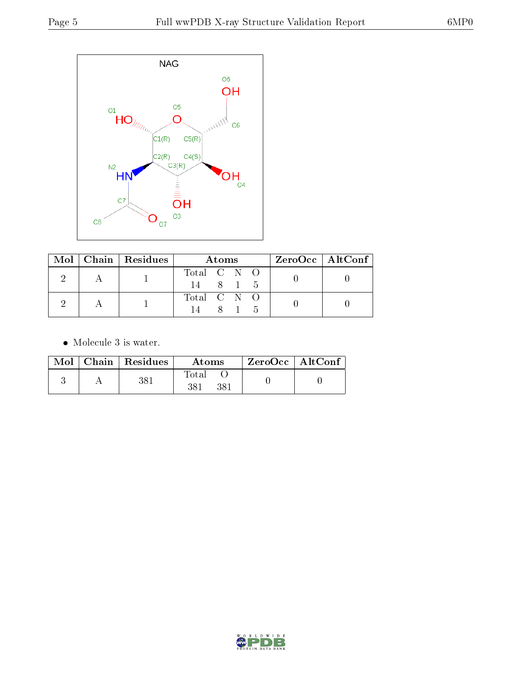

|  | Mol   Chain   Residues | Atoms                         |  |         |     | $ZeroOcc \   \$ AltConf |
|--|------------------------|-------------------------------|--|---------|-----|-------------------------|
|  |                        | Total $C \tN \tO$<br>14 8 1 5 |  |         |     |                         |
|  |                        | Total C N O                   |  |         |     |                         |
|  |                        | 14                            |  | $8 \t1$ | - 5 |                         |

 $\bullet\,$  Molecule 3 is water.

|  | $Mol$   Chain   Residues | Atoms        | $\rm ZeroOcc \mid AltConf$ |  |
|--|--------------------------|--------------|----------------------------|--|
|  | 381                      | Total<br>381 |                            |  |

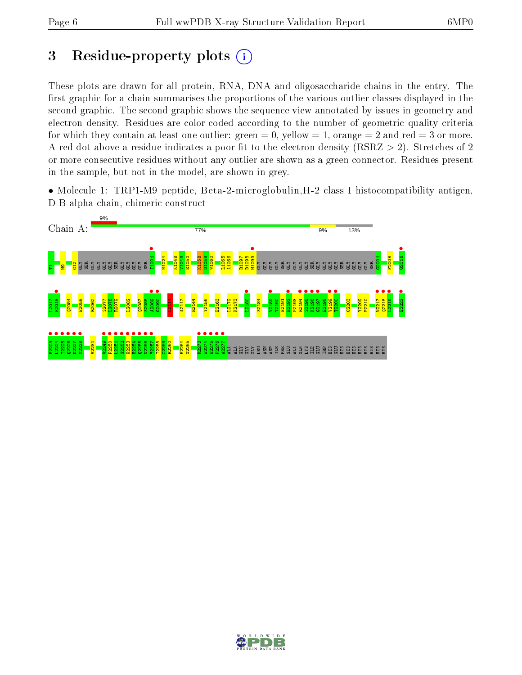# 3 Residue-property plots  $(i)$

These plots are drawn for all protein, RNA, DNA and oligosaccharide chains in the entry. The first graphic for a chain summarises the proportions of the various outlier classes displayed in the second graphic. The second graphic shows the sequence view annotated by issues in geometry and electron density. Residues are color-coded according to the number of geometric quality criteria for which they contain at least one outlier: green  $= 0$ , yellow  $= 1$ , orange  $= 2$  and red  $= 3$  or more. A red dot above a residue indicates a poor fit to the electron density ( $RSRZ > 2$ ). Stretches of 2 or more consecutive residues without any outlier are shown as a green connector. Residues present in the sample, but not in the model, are shown in grey.

• Molecule 1: TRP1-M9 peptide, Beta-2-microglobulin, H-2 class I histocompatibility antigen, D-B alpha chain, chimeric construct



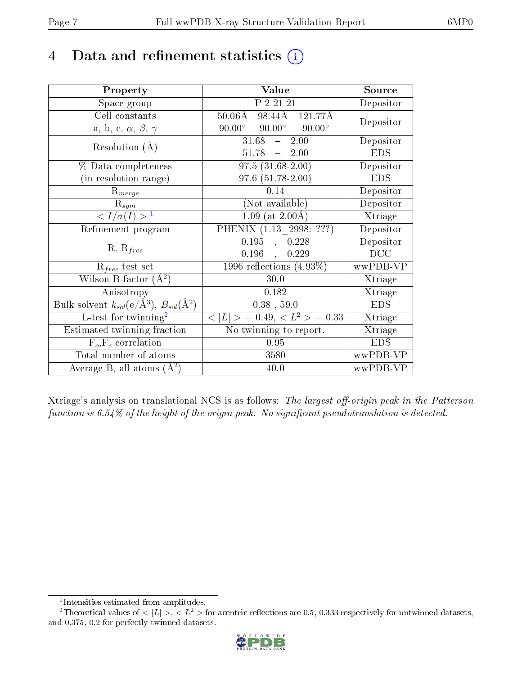# 4 Data and refinement statistics  $(i)$

| Property                                                         | Value                                                                  | Source     |
|------------------------------------------------------------------|------------------------------------------------------------------------|------------|
| Space group                                                      | P 2 21 21                                                              | Depositor  |
| Cell constants                                                   | $50.06\text{\AA}$ 98.44 $\overline{4\text{\AA}}$ 121.77 $\overline{A}$ | Depositor  |
| a, b, c, $\alpha$ , $\beta$ , $\gamma$                           | $90.00^{\circ}$ $90.00^{\circ}$<br>$90.00^\circ$                       |            |
| Resolution $(A)$                                                 | 31.68<br>2.00<br>$\frac{1}{2}$                                         | Depositor  |
|                                                                  | $51.78 - 2.00$                                                         | <b>EDS</b> |
| % Data completeness                                              | $97.5(31.68-2.00)$                                                     | Depositor  |
| (in resolution range)                                            | $97.6(51.78-2.00)$                                                     | <b>EDS</b> |
| $R_{merge}$                                                      | 0.14                                                                   | Depositor  |
| $\mathrm{R}_{sym}$                                               | (Not available)                                                        | Depositor  |
| $\langle I/\sigma(I) \rangle^{-1}$                               | $1.09$ (at 2.00Å)                                                      | Xtriage    |
| Refinement program                                               | PHENIX (1.13 2998: ???)                                                | Depositor  |
|                                                                  | 0.195<br>, 0.228                                                       | Depositor  |
| $R, R_{free}$                                                    | 0.196<br>0.229<br>$\ddot{\phantom{a}}$                                 | DCC        |
| $R_{free}$ test set                                              | 1996 reflections $(4.93\%)$                                            | wwPDB-VP   |
| Wilson B-factor $(A^2)$                                          | 30.0                                                                   | Xtriage    |
| Anisotropy                                                       | 0.182                                                                  | Xtriage    |
| Bulk solvent $k_{sol}(\text{e}/\text{A}^3), B_{sol}(\text{A}^2)$ | $0.38$ , 59.0                                                          | <b>EDS</b> |
| L-test for $\mathrm{twinning}^2$                                 | $< L >$ = 0.49, $< L2$ = 0.33                                          | Xtriage    |
| Estimated twinning fraction                                      | No twinning to report.                                                 | Xtriage    |
| $\overline{F_o}, \overline{F_c}$ correlation                     | 0.95                                                                   | <b>EDS</b> |
| Total number of atoms                                            | 3580                                                                   | wwPDB-VP   |
| Average B, all atoms $(A^2)$                                     | 40.0                                                                   | wwPDB-VP   |

Xtriage's analysis on translational NCS is as follows: The largest off-origin peak in the Patterson function is  $6.54\%$  of the height of the origin peak. No significant pseudotranslation is detected.

<sup>&</sup>lt;sup>2</sup>Theoretical values of  $\langle |L| \rangle$ ,  $\langle L^2 \rangle$  for acentric reflections are 0.5, 0.333 respectively for untwinned datasets, and 0.375, 0.2 for perfectly twinned datasets.



<span id="page-6-1"></span><span id="page-6-0"></span><sup>1</sup> Intensities estimated from amplitudes.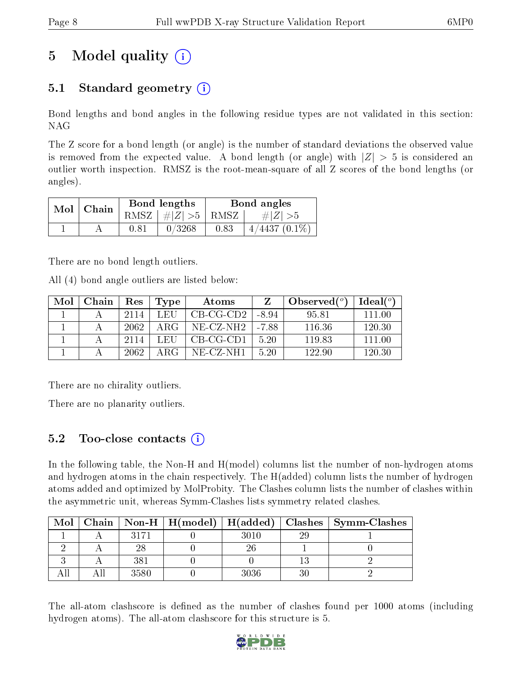# 5 Model quality  $(i)$

# 5.1 Standard geometry  $(i)$

Bond lengths and bond angles in the following residue types are not validated in this section: NAG

The Z score for a bond length (or angle) is the number of standard deviations the observed value is removed from the expected value. A bond length (or angle) with  $|Z| > 5$  is considered an outlier worth inspection. RMSZ is the root-mean-square of all Z scores of the bond lengths (or angles).

| $Mol$   Chain |      | Bond lengths                 | Bond angles |                    |  |
|---------------|------|------------------------------|-------------|--------------------|--|
|               |      | $RMSZ$ $\mid \# Z  > 5$ RMSZ |             | $\# Z  > 5$        |  |
|               | 0.81 | 0/3268                       | 0.83        | $4/4437$ $(0.1\%)$ |  |

There are no bond length outliers.

All (4) bond angle outliers are listed below:

| Mol | Chain | $\operatorname{Res}% \left( \mathcal{N}\right) \equiv\operatorname{Res}(\mathcal{N}_{0})\cap\mathcal{N}_{1}$ | Type | Atoms       |       | Observed $(^\circ)$ | $\text{Ideal}({}^o)$ |
|-----|-------|--------------------------------------------------------------------------------------------------------------|------|-------------|-------|---------------------|----------------------|
|     |       | 2114                                                                                                         | LEH  | $CB-CG-CD2$ | -8.94 | 95.81               | 111 00               |
|     |       | 2062                                                                                                         | ARG  | $NE-CZ-NH2$ | -7.88 | 116.36              | 120.30               |
|     |       | 2114                                                                                                         | L EH | $CB-CG-CD1$ | 5.20  | 11983               | 111 00               |
|     |       | -2062                                                                                                        | ABC  | NE-CZ-NH1   | 5.20  | 122.90              | 120.30               |

There are no chirality outliers.

There are no planarity outliers.

# 5.2 Too-close contacts  $\overline{a}$

In the following table, the Non-H and H(model) columns list the number of non-hydrogen atoms and hydrogen atoms in the chain respectively. The H(added) column lists the number of hydrogen atoms added and optimized by MolProbity. The Clashes column lists the number of clashes within the asymmetric unit, whereas Symm-Clashes lists symmetry related clashes.

| Mol |      |      |    | Chain   Non-H   H(model)   H(added)   Clashes   Symm-Clashes |
|-----|------|------|----|--------------------------------------------------------------|
|     |      | 3010 | 29 |                                                              |
|     |      |      |    |                                                              |
|     | 381  |      |    |                                                              |
|     | 3580 | 3036 |    |                                                              |

The all-atom clashscore is defined as the number of clashes found per 1000 atoms (including hydrogen atoms). The all-atom clashscore for this structure is 5.

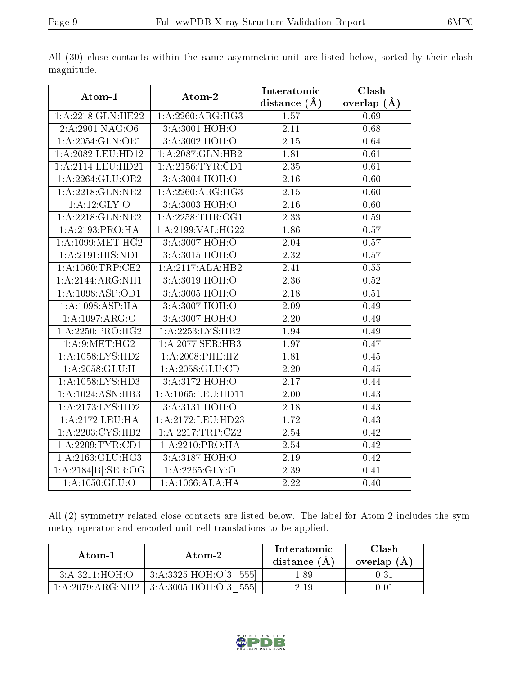|                               |                               | Interatomic       | Clash           |
|-------------------------------|-------------------------------|-------------------|-----------------|
| Atom-1                        | Atom-2                        | distance $(\AA)$  | overlap $(\AA)$ |
| 1:A:2218:GLN:HE22             | 1:A:2260:ARG:HG3              | 1.57              | 0.69            |
| 2: A:2901: NAG:O6             | 3:A:3001:HOH:O                | 2.11              | 0.68            |
| 1:A:2054:GLN:OE1              | 3:A:3002:HOH:O                | $\overline{2.15}$ | 0.64            |
| 1:A:2082:LEU:HD12             | 1:A:2087:GLN:HB2              | 1.81              | 0.61            |
| 1:A:2114:LEU:HD21             | 1:A:2156:TYR:CD1              | 2.35              | 0.61            |
| 1:A:2264:GLU:OE2              | 3:A:3004:HOH:O                | $\overline{2.16}$ | 0.60            |
| 1: A:2218: GLN:NE2            | 1:A:2260:ARG:HG3              | 2.15              | 0.60            |
| 1:A:12:GLY:O                  | 3:A:3003:HOH:O                | 2.16              | 0.60            |
| 1:A:2218:GLN:NE2              | 1:A:2258:THR:OG1              | $\overline{2.33}$ | 0.59            |
| 1:A:2193:PRO:HA               | 1: A:2199: VAL:HG22           | 1.86              | 0.57            |
| 1: A: 1099: MET: HG2          | 3:A:3007:HOH:O                | 2.04              | 0.57            |
| 1: A:2191: HIS: ND1           | 3:A:3015:HOH:O                | $\overline{2.32}$ | 0.57            |
| 1: A:1060:TRP:CE2             | 1:A:2117:ALA:HB2              | 2.41              | 0.55            |
| 1:A:2144:ARG:NH1              | 3:A:3019:HOH:O                | 2.36              | 0.52            |
| 1:A:1098:ASP:OD1              | 3:A:3005:HOH:O                | 2.18              | 0.51            |
| 1:A:1098:ASP:HA               | 3: A:3007:HOH:O               | 2.09              | 0.49            |
| 1:A:1097:ARG:O                | 3:A:3007:HOH:O                | $\overline{2.20}$ | 0.49            |
| 1:A:2250:PRO:HG2              | $1:A:2253:LYS:H\overline{B2}$ | 1.94              | 0.49            |
| 1: A:9: MET:HG2               | 1:A:2077:SER:HB3              | $\overline{1.97}$ | 0.47            |
| 1:A:1058:LYS:HD2              | 1:A:2008:PHE:HZ               | 1.81              | 0.45            |
| 1: A: 2058: GLU: H            | 1: A: 2058: GLU: CD           | 2.20              | 0.45            |
| 1: A: 1058: LYS: HD3          | 3: A: 3172: HOH:O             | 2.17              | 0.44            |
| 1:A:1024:ASN:HB3              | 1:A:1065:LEU:HD11             | 2.00              | 0.43            |
| 1:A:2173:LYS:HD2              | 3:A:3131:HOH:O                | 2.18              | 0.43            |
| 1: A:2172:LEU:HA              | 1:A:2172:LEU:HD23             | 1.72              | 0.43            |
| 1:A:2203:CYS:HB2              | 1:A:2217:TRP:CZ2              | 2.54              | 0.42            |
| 1:A:2209:TYR:CD1              | 1:A:2210:PRO:HA               | 2.54              | 0.42            |
| $1:A:\overline{2163:GLU:HG3}$ | 3:A:3187:HOH:O                | 2.19              | 0.42            |
| $1:A:2184[B]:\text{SER:OG}$   | 1:A:2265:GLY:O                | 2.39              | 0.41            |
| 1:A:1050:GLU:O                | 1:A:1066:ALA:HA               | 2.22              | 0.40            |

All (30) close contacts within the same asymmetric unit are listed below, sorted by their clash magnitude.

All (2) symmetry-related close contacts are listed below. The label for Atom-2 includes the symmetry operator and encoded unit-cell translations to be applied.

| Atom-1<br>Atom-2           |                                     | Interatomic<br>distance $(A)$ | Clash<br>overlap $(A)$ |
|----------------------------|-------------------------------------|-------------------------------|------------------------|
| 3: A:3211:HOH:O            | 3:A:3325:HOH:O[3 555]               | .89                           | 0.31                   |
| $1:\!A:\!2079:\!ARG:\!NH2$ | $\pm$ 3:A:3005:HOH:O[3 $\pm$<br>555 | 2.19                          | 0.01                   |

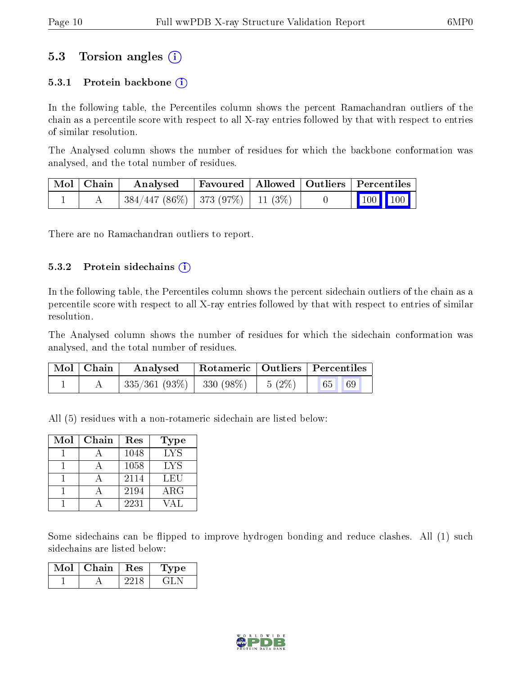### 5.3 Torsion angles (i)

#### 5.3.1 Protein backbone  $(i)$

In the following table, the Percentiles column shows the percent Ramachandran outliers of the chain as a percentile score with respect to all X-ray entries followed by that with respect to entries of similar resolution.

The Analysed column shows the number of residues for which the backbone conformation was analysed, and the total number of residues.

| $\mid$ Mol $\mid$ Chain $\mid$ | Analysed                                 |  |  | Favoured   Allowed   Outliers   Percentiles                               |  |
|--------------------------------|------------------------------------------|--|--|---------------------------------------------------------------------------|--|
|                                | $384/447$ (86\%)   373 (97\%)   11 (3\%) |  |  | $\begin{array}{ c c c c c c }\n\hline\n100 & 100 & \\\hline\n\end{array}$ |  |

There are no Ramachandran outliers to report.

#### $5.3.2$  Protein sidechains  $(i)$

In the following table, the Percentiles column shows the percent sidechain outliers of the chain as a percentile score with respect to all X-ray entries followed by that with respect to entries of similar resolution.

The Analysed column shows the number of residues for which the sidechain conformation was analysed, and the total number of residues.

| Mol   Chain | $\boldsymbol{\mathrm{Analysed}}$                                 |  | Rotameric   Outliers   Percentiles |  |
|-------------|------------------------------------------------------------------|--|------------------------------------|--|
|             | $\mid 335/361 \; (93\%) \mid 330 \; (98\%) \mid 5 \; (2\%) \mid$ |  |                                    |  |

All (5) residues with a non-rotameric sidechain are listed below:

| Mol | Chain | Res  | Type       |
|-----|-------|------|------------|
|     |       | 1048 | <b>LYS</b> |
|     |       | 1058 | LYS        |
|     |       | 2114 | LEU        |
|     |       | 2194 | $\rm{ARG}$ |
|     |       | 2231 |            |

Some sidechains can be flipped to improve hydrogen bonding and reduce clashes. All (1) such sidechains are listed below:

| Mol | Chain | $\operatorname{Res}% \left( \mathcal{N}\right) \simeq\operatorname{Res}(\mathcal{N}_{0})^{\ast}$ | Type |
|-----|-------|--------------------------------------------------------------------------------------------------|------|
|     |       |                                                                                                  |      |

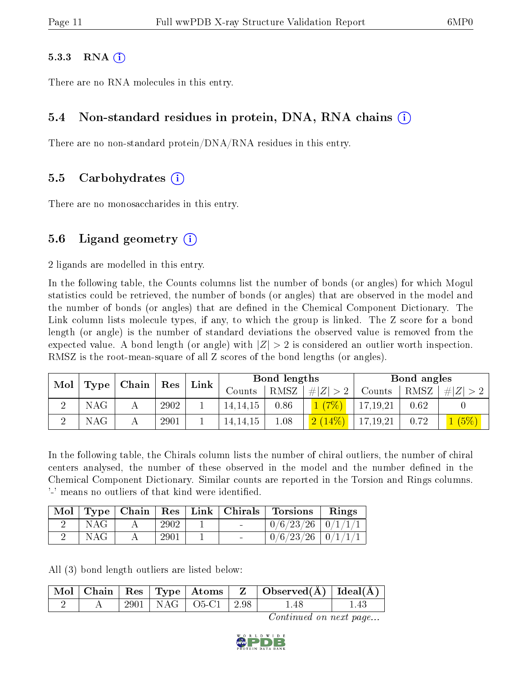#### $5.3.3$  RNA  $(i)$

There are no RNA molecules in this entry.

### 5.4 Non-standard residues in protein, DNA, RNA chains (i)

There are no non-standard protein/DNA/RNA residues in this entry.

### 5.5 Carbohydrates (i)

There are no monosaccharides in this entry.

### 5.6 Ligand geometry  $(i)$

2 ligands are modelled in this entry.

In the following table, the Counts columns list the number of bonds (or angles) for which Mogul statistics could be retrieved, the number of bonds (or angles) that are observed in the model and the number of bonds (or angles) that are defined in the Chemical Component Dictionary. The Link column lists molecule types, if any, to which the group is linked. The Z score for a bond length (or angle) is the number of standard deviations the observed value is removed from the expected value. A bond length (or angle) with  $|Z| > 2$  is considered an outlier worth inspection. RMSZ is the root-mean-square of all Z scores of the bond lengths (or angles).

| Mol |      | $\mid$ Type $\mid$ Chain $\mid$ |      | Link<br>${\rm Res}$ |            | Bond lengths |           |            | Bond angles |         |  |
|-----|------|---------------------------------|------|---------------------|------------|--------------|-----------|------------|-------------|---------|--|
|     |      |                                 |      |                     | Counts     | RMSZ         | # Z       | Counts     | RMSZ        | # Z     |  |
|     | NAG. |                                 | 2902 |                     | 14, 14, 15 | 0.86         | (7%)      | 17,19,21   | 0.62        |         |  |
|     | NAG. |                                 | 2901 |                     | 14, 14, 15 | 1.08         | $2(14\%)$ | 17, 19, 21 | 0.72        | $(5\%)$ |  |

In the following table, the Chirals column lists the number of chiral outliers, the number of chiral centers analysed, the number of these observed in the model and the number defined in the Chemical Component Dictionary. Similar counts are reported in the Torsion and Rings columns. '-' means no outliers of that kind were identified.

| Mol | Type | Chain | Res  | Link   Chirals | <b>Torsions</b>         | Rings |
|-----|------|-------|------|----------------|-------------------------|-------|
|     | NAG  |       | 2902 |                | $0/6/23/26$   $0/1/1/1$ |       |
|     | NAG  |       | 2901 |                | $0/6/23/26$   $0/1/1/1$ |       |

All (3) bond length outliers are listed below:

|  |  |                             | $\mid$ Mol $\mid$ Chain $\mid$ Res $\mid$ Type $\mid$ Atoms $\mid$ Z $\mid$ Observed(A) $\mid$ Ideal(A) $\mid$ |  |
|--|--|-----------------------------|----------------------------------------------------------------------------------------------------------------|--|
|  |  | $2901$   NAG   O5-C1   2.98 |                                                                                                                |  |

Continued on next page...

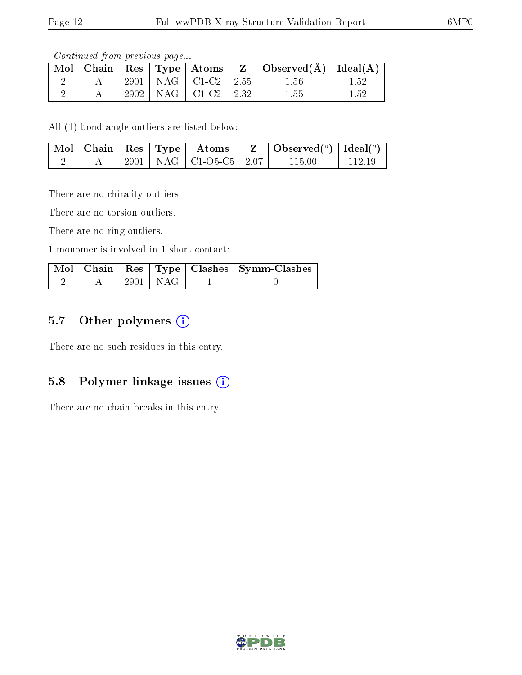Continued from previous page...

| $\text{Mol}$ |      | $\vert$ Chain $\vert$ Res $\vert$ Type $\vert$ Atoms $\vert$ | $Z_{-+}$ | $\vert$ Observed( $\AA$ ) $\vert$ Ideal( $\AA$ ) |      |
|--------------|------|--------------------------------------------------------------|----------|--------------------------------------------------|------|
|              |      | $2901$   NAG   C1-C2   2.55                                  |          | 1.56                                             | 1.52 |
|              | 2902 | $\vert$ NAG $\vert$ C1-C2 $\vert$ 2.32                       |          | $1.55\,$                                         | 152  |

All (1) bond angle outliers are listed below:

|  |  | $\lceil \overline{\text{Mol}} \rceil$ Chain $\lceil \text{Res} \rceil$ Type $\lceil \text{ Atoms} \rceil$ | $\begin{array}{ c c c c c }\hline \ \ \ & \ {\rm \bf Z} & {\rm \bf Observed}({}^o) & {\rm \bf Ideal}({}^o) & {\rm \bf \end{array}$ |        |
|--|--|-----------------------------------------------------------------------------------------------------------|------------------------------------------------------------------------------------------------------------------------------------|--------|
|  |  | $+2901$   NAG   C1-O5-C5   2.07                                                                           | 115.00                                                                                                                             | 112.19 |

There are no chirality outliers.

There are no torsion outliers.

There are no ring outliers.

1 monomer is involved in 1 short contact:

|  |            | Mol   Chain   Res   Type   Clashes   Symm-Clashes |
|--|------------|---------------------------------------------------|
|  | 2901   NAG |                                                   |

# 5.7 [O](https://www.wwpdb.org/validation/2017/XrayValidationReportHelp#nonstandard_residues_and_ligands)ther polymers (i)

There are no such residues in this entry.

# 5.8 Polymer linkage issues  $(i)$

There are no chain breaks in this entry.

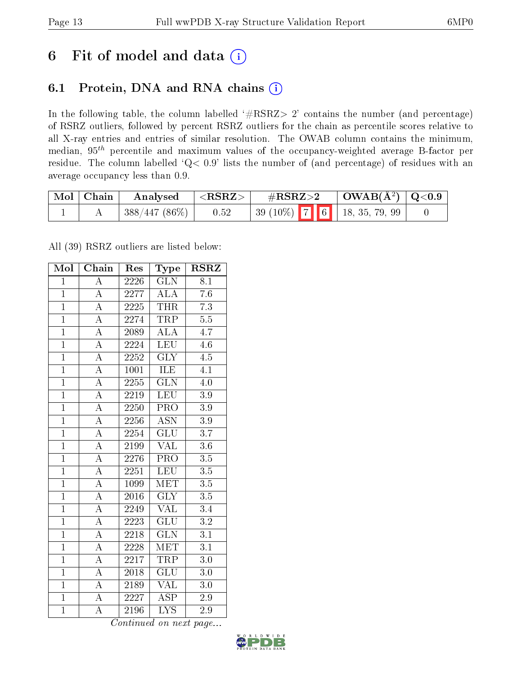# 6 Fit of model and data  $(i)$

# 6.1 Protein, DNA and RNA chains  $(i)$

In the following table, the column labelled  $#RSRZ> 2'$  contains the number (and percentage) of RSRZ outliers, followed by percent RSRZ outliers for the chain as percentile scores relative to all X-ray entries and entries of similar resolution. The OWAB column contains the minimum, median,  $95<sup>th</sup>$  percentile and maximum values of the occupancy-weighted average B-factor per residue. The column labelled ' $Q< 0.9$ ' lists the number of (and percentage) of residues with an average occupancy less than 0.9.

| $\mid$ Mol $\mid$ Chain | Analysed          | ${ <\hspace{-1.5pt}{\mathrm{RSRZ}} \hspace{-1.5pt}>}$ | $\#\text{RSRZ}\text{>2}$      |  | $\vert$ OWAB( $\rm{\AA}^{2}$ ) $\vert$ Q<0.9 |  |
|-------------------------|-------------------|-------------------------------------------------------|-------------------------------|--|----------------------------------------------|--|
|                         | $ 388/447(86\%) $ | 0.52                                                  | $39(10\%)$ 7 6 18, 35, 79, 99 |  |                                              |  |

All (39) RSRZ outliers are listed below:

| Mol            | $\overline{\text{Chain}}$ | Res               | Type                      | <b>RSRZ</b>      |  |
|----------------|---------------------------|-------------------|---------------------------|------------------|--|
| $\overline{1}$ | $\overline{\rm A}$        | 2226              | <b>GLN</b>                | 8.1              |  |
| $\mathbf{1}$   | $\overline{\rm A}$        | 2277              | $\overline{\rm ALA}$      | 7.6              |  |
| $\overline{1}$ | $\overline{\rm A}$        | 2225              | <b>THR</b>                | $\overline{7.3}$ |  |
| $\overline{1}$ | $\overline{\rm A}$        | 2274              | TRP                       | $5.5\,$          |  |
| $\overline{1}$ | $\overline{A}$            | 2089              | $\overline{\rm ALA}$      | $\overline{4.7}$ |  |
| $\mathbf{1}$   | $\overline{\rm A}$        | 2224              | $\overline{\text{LEU}}$   | 4.6              |  |
| $\overline{1}$ | $\overline{\rm A}$        | 2252              | $\overline{\text{GLY}}$   | 4.5              |  |
| $\overline{1}$ | $\overline{A}$            | 1001              | <b>ILE</b>                | 4.1              |  |
| $\overline{1}$ | $\overline{\rm A}$        | 2255              | $\overline{\text{GLN}}$   | 4.0              |  |
| $\overline{1}$ | $\overline{\rm A}$        | 2219              | <b>LEU</b>                | 3.9              |  |
| $\overline{1}$ | $\overline{\rm A}$        | 2250              | $\overline{\text{PRO}}$   | $3.\overline{9}$ |  |
| $\overline{1}$ | $\overline{A}$            | 2256              | $\overline{\mathrm{ASN}}$ | $\overline{3.9}$ |  |
| $\mathbf{1}$   | $\overline{\rm A}$        | 2254              | <b>GLU</b>                | 3.7              |  |
| $\overline{1}$ | $\overline{\rm A}$        | 2199              | <b>VAL</b>                | 3.6              |  |
| $\overline{1}$ | $\overline{A}$            | 2276              | $\overline{\text{PRO}}$   | $3.5\,$          |  |
| $\overline{1}$ | $\overline{\rm A}$        | 2251              | <b>LEU</b>                | $\overline{3.5}$ |  |
| $\overline{1}$ | $\overline{\rm A}$        | 1099              | <b>MET</b>                | $\overline{3.5}$ |  |
| $\overline{1}$ | $\overline{\rm A}$        | 2016              | $\overline{\text{GLY}}$   | $3.5\,$          |  |
| $\overline{1}$ | $\overline{\rm A}$        | 2249              | <b>VAL</b>                | $\overline{3.4}$ |  |
| $\overline{1}$ | $\overline{\rm A}$        | 2223              | $\overline{\text{GLU}}$   | $\overline{3.2}$ |  |
| $\overline{1}$ | $\overline{\rm A}$        | 2218              | $\widetilde{{\rm GLN}}$   | $\overline{3.1}$ |  |
| $\overline{1}$ | $\overline{\rm A}$        | $\overline{2228}$ | $\overline{\text{MET}}$   | $\overline{3.1}$ |  |
| $\mathbf{1}$   | $\overline{\rm A}$        | 2217              | <b>TRP</b>                | 3.0              |  |
| $\overline{1}$ | $\overline{\rm A}$        | 2018              | $\overline{\text{GLU}}$   | 3.0              |  |
| $\overline{1}$ | $\overline{\rm A}$        | 2189              | $\rm V\overline{AL}$      | 3.0              |  |
| $\overline{1}$ | $\overline{\rm A}$        | 2227              | $\overline{\text{ASP}}$   | 2.9              |  |
| $\overline{1}$ | $\overline{\rm A}$        | 2196              | $\overline{\text{LYS}}$   | $\overline{2.9}$ |  |

Continued on next page...